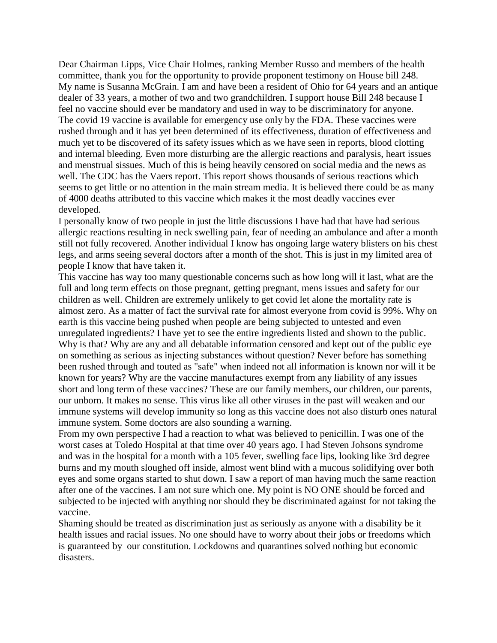Dear Chairman Lipps, Vice Chair Holmes, ranking Member Russo and members of the health committee, thank you for the opportunity to provide proponent testimony on House bill 248. My name is Susanna McGrain. I am and have been a resident of Ohio for 64 years and an antique dealer of 33 years, a mother of two and two grandchildren. I support house Bill 248 because I feel no vaccine should ever be mandatory and used in way to be discriminatory for anyone. The covid 19 vaccine is available for emergency use only by the FDA. These vaccines were rushed through and it has yet been determined of its effectiveness, duration of effectiveness and much yet to be discovered of its safety issues which as we have seen in reports, blood clotting and internal bleeding. Even more disturbing are the allergic reactions and paralysis, heart issues and menstrual sissues. Much of this is being heavily censored on social media and the news as well. The CDC has the Vaers report. This report shows thousands of serious reactions which seems to get little or no attention in the main stream media. It is believed there could be as many of 4000 deaths attributed to this vaccine which makes it the most deadly vaccines ever developed.

I personally know of two people in just the little discussions I have had that have had serious allergic reactions resulting in neck swelling pain, fear of needing an ambulance and after a month still not fully recovered. Another individual I know has ongoing large watery blisters on his chest legs, and arms seeing several doctors after a month of the shot. This is just in my limited area of people I know that have taken it.

This vaccine has way too many questionable concerns such as how long will it last, what are the full and long term effects on those pregnant, getting pregnant, mens issues and safety for our children as well. Children are extremely unlikely to get covid let alone the mortality rate is almost zero. As a matter of fact the survival rate for almost everyone from covid is 99%. Why on earth is this vaccine being pushed when people are being subjected to untested and even unregulated ingredients? I have yet to see the entire ingredients listed and shown to the public. Why is that? Why are any and all debatable information censored and kept out of the public eye on something as serious as injecting substances without question? Never before has something been rushed through and touted as "safe" when indeed not all information is known nor will it be known for years? Why are the vaccine manufactures exempt from any liability of any issues short and long term of these vaccines? These are our family members, our children, our parents, our unborn. It makes no sense. This virus like all other viruses in the past will weaken and our immune systems will develop immunity so long as this vaccine does not also disturb ones natural immune system. Some doctors are also sounding a warning.

From my own perspective I had a reaction to what was believed to penicillin. I was one of the worst cases at Toledo Hospital at that time over 40 years ago. I had Steven Johsons syndrome and was in the hospital for a month with a 105 fever, swelling face lips, looking like 3rd degree burns and my mouth sloughed off inside, almost went blind with a mucous solidifying over both eyes and some organs started to shut down. I saw a report of man having much the same reaction after one of the vaccines. I am not sure which one. My point is NO ONE should be forced and subjected to be injected with anything nor should they be discriminated against for not taking the vaccine.

Shaming should be treated as discrimination just as seriously as anyone with a disability be it health issues and racial issues. No one should have to worry about their jobs or freedoms which is guaranteed by our constitution. Lockdowns and quarantines solved nothing but economic disasters.